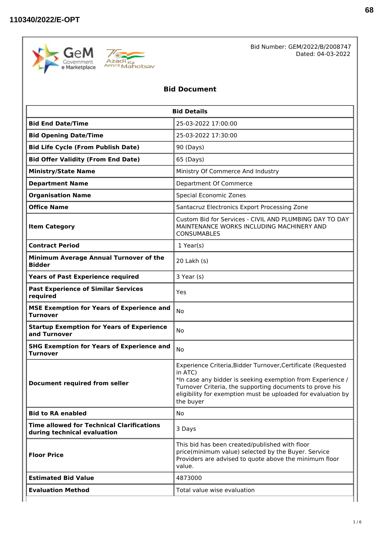



Bid Number: GEM/2022/B/2008747 Dated: 04-03-2022

# **Bid Document**

| <b>Bid End Date/Time</b><br>25-03-2022 17:00:00<br><b>Bid Opening Date/Time</b><br>25-03-2022 17:30:00<br><b>Bid Life Cycle (From Publish Date)</b><br>90 (Days)<br><b>Bid Offer Validity (From End Date)</b><br>65 (Days)<br>Ministry Of Commerce And Industry<br><b>Ministry/State Name</b><br><b>Department Name</b><br>Department Of Commerce<br><b>Special Economic Zones</b><br><b>Organisation Name</b><br><b>Office Name</b><br>Santacruz Electronics Export Processing Zone<br>MAINTENANCE WORKS INCLUDING MACHINERY AND<br><b>Item Category</b><br><b>CONSUMABLES</b><br><b>Contract Period</b><br>$1$ Year(s)<br>Minimum Average Annual Turnover of the<br>20 Lakh (s)<br><b>Bidder</b><br><b>Years of Past Experience required</b><br>3 Year (s)<br><b>Past Experience of Similar Services</b><br>Yes<br>required<br><b>MSE Exemption for Years of Experience and</b><br><b>No</b><br><b>Turnover</b><br><b>Startup Exemption for Years of Experience</b><br>No<br>and Turnover<br><b>SHG Exemption for Years of Experience and</b><br>N <sub>o</sub><br><b>Turnover</b><br>in ATC)<br><b>Document required from seller</b><br>Turnover Criteria, the supporting documents to prove his<br>the buyer<br><b>Bid to RA enabled</b><br>No<br><b>Time allowed for Technical Clarifications</b><br>3 Days<br>during technical evaluation<br>This bid has been created/published with floor<br>price(minimum value) selected by the Buyer. Service<br><b>Floor Price</b><br>Providers are advised to quote above the minimum floor<br>value. | <b>Bid Details</b> |                                                                                                                                                                                            |  |  |  |
|----------------------------------------------------------------------------------------------------------------------------------------------------------------------------------------------------------------------------------------------------------------------------------------------------------------------------------------------------------------------------------------------------------------------------------------------------------------------------------------------------------------------------------------------------------------------------------------------------------------------------------------------------------------------------------------------------------------------------------------------------------------------------------------------------------------------------------------------------------------------------------------------------------------------------------------------------------------------------------------------------------------------------------------------------------------------------------------------------------------------------------------------------------------------------------------------------------------------------------------------------------------------------------------------------------------------------------------------------------------------------------------------------------------------------------------------------------------------------------------------------------------------------------------------------|--------------------|--------------------------------------------------------------------------------------------------------------------------------------------------------------------------------------------|--|--|--|
|                                                                                                                                                                                                                                                                                                                                                                                                                                                                                                                                                                                                                                                                                                                                                                                                                                                                                                                                                                                                                                                                                                                                                                                                                                                                                                                                                                                                                                                                                                                                                    |                    |                                                                                                                                                                                            |  |  |  |
|                                                                                                                                                                                                                                                                                                                                                                                                                                                                                                                                                                                                                                                                                                                                                                                                                                                                                                                                                                                                                                                                                                                                                                                                                                                                                                                                                                                                                                                                                                                                                    |                    |                                                                                                                                                                                            |  |  |  |
|                                                                                                                                                                                                                                                                                                                                                                                                                                                                                                                                                                                                                                                                                                                                                                                                                                                                                                                                                                                                                                                                                                                                                                                                                                                                                                                                                                                                                                                                                                                                                    |                    |                                                                                                                                                                                            |  |  |  |
|                                                                                                                                                                                                                                                                                                                                                                                                                                                                                                                                                                                                                                                                                                                                                                                                                                                                                                                                                                                                                                                                                                                                                                                                                                                                                                                                                                                                                                                                                                                                                    |                    |                                                                                                                                                                                            |  |  |  |
|                                                                                                                                                                                                                                                                                                                                                                                                                                                                                                                                                                                                                                                                                                                                                                                                                                                                                                                                                                                                                                                                                                                                                                                                                                                                                                                                                                                                                                                                                                                                                    |                    |                                                                                                                                                                                            |  |  |  |
|                                                                                                                                                                                                                                                                                                                                                                                                                                                                                                                                                                                                                                                                                                                                                                                                                                                                                                                                                                                                                                                                                                                                                                                                                                                                                                                                                                                                                                                                                                                                                    |                    |                                                                                                                                                                                            |  |  |  |
|                                                                                                                                                                                                                                                                                                                                                                                                                                                                                                                                                                                                                                                                                                                                                                                                                                                                                                                                                                                                                                                                                                                                                                                                                                                                                                                                                                                                                                                                                                                                                    |                    |                                                                                                                                                                                            |  |  |  |
|                                                                                                                                                                                                                                                                                                                                                                                                                                                                                                                                                                                                                                                                                                                                                                                                                                                                                                                                                                                                                                                                                                                                                                                                                                                                                                                                                                                                                                                                                                                                                    |                    |                                                                                                                                                                                            |  |  |  |
|                                                                                                                                                                                                                                                                                                                                                                                                                                                                                                                                                                                                                                                                                                                                                                                                                                                                                                                                                                                                                                                                                                                                                                                                                                                                                                                                                                                                                                                                                                                                                    |                    | Custom Bid for Services - CIVIL AND PLUMBING DAY TO DAY                                                                                                                                    |  |  |  |
|                                                                                                                                                                                                                                                                                                                                                                                                                                                                                                                                                                                                                                                                                                                                                                                                                                                                                                                                                                                                                                                                                                                                                                                                                                                                                                                                                                                                                                                                                                                                                    |                    |                                                                                                                                                                                            |  |  |  |
|                                                                                                                                                                                                                                                                                                                                                                                                                                                                                                                                                                                                                                                                                                                                                                                                                                                                                                                                                                                                                                                                                                                                                                                                                                                                                                                                                                                                                                                                                                                                                    |                    |                                                                                                                                                                                            |  |  |  |
|                                                                                                                                                                                                                                                                                                                                                                                                                                                                                                                                                                                                                                                                                                                                                                                                                                                                                                                                                                                                                                                                                                                                                                                                                                                                                                                                                                                                                                                                                                                                                    |                    |                                                                                                                                                                                            |  |  |  |
|                                                                                                                                                                                                                                                                                                                                                                                                                                                                                                                                                                                                                                                                                                                                                                                                                                                                                                                                                                                                                                                                                                                                                                                                                                                                                                                                                                                                                                                                                                                                                    |                    |                                                                                                                                                                                            |  |  |  |
|                                                                                                                                                                                                                                                                                                                                                                                                                                                                                                                                                                                                                                                                                                                                                                                                                                                                                                                                                                                                                                                                                                                                                                                                                                                                                                                                                                                                                                                                                                                                                    |                    |                                                                                                                                                                                            |  |  |  |
|                                                                                                                                                                                                                                                                                                                                                                                                                                                                                                                                                                                                                                                                                                                                                                                                                                                                                                                                                                                                                                                                                                                                                                                                                                                                                                                                                                                                                                                                                                                                                    |                    |                                                                                                                                                                                            |  |  |  |
|                                                                                                                                                                                                                                                                                                                                                                                                                                                                                                                                                                                                                                                                                                                                                                                                                                                                                                                                                                                                                                                                                                                                                                                                                                                                                                                                                                                                                                                                                                                                                    |                    |                                                                                                                                                                                            |  |  |  |
|                                                                                                                                                                                                                                                                                                                                                                                                                                                                                                                                                                                                                                                                                                                                                                                                                                                                                                                                                                                                                                                                                                                                                                                                                                                                                                                                                                                                                                                                                                                                                    |                    | Experience Criteria, Bidder Turnover, Certificate (Requested<br>*In case any bidder is seeking exemption from Experience /<br>eligibility for exemption must be uploaded for evaluation by |  |  |  |
|                                                                                                                                                                                                                                                                                                                                                                                                                                                                                                                                                                                                                                                                                                                                                                                                                                                                                                                                                                                                                                                                                                                                                                                                                                                                                                                                                                                                                                                                                                                                                    |                    |                                                                                                                                                                                            |  |  |  |
|                                                                                                                                                                                                                                                                                                                                                                                                                                                                                                                                                                                                                                                                                                                                                                                                                                                                                                                                                                                                                                                                                                                                                                                                                                                                                                                                                                                                                                                                                                                                                    |                    |                                                                                                                                                                                            |  |  |  |
|                                                                                                                                                                                                                                                                                                                                                                                                                                                                                                                                                                                                                                                                                                                                                                                                                                                                                                                                                                                                                                                                                                                                                                                                                                                                                                                                                                                                                                                                                                                                                    |                    |                                                                                                                                                                                            |  |  |  |
| <b>Estimated Bid Value</b><br>4873000                                                                                                                                                                                                                                                                                                                                                                                                                                                                                                                                                                                                                                                                                                                                                                                                                                                                                                                                                                                                                                                                                                                                                                                                                                                                                                                                                                                                                                                                                                              |                    |                                                                                                                                                                                            |  |  |  |
| <b>Evaluation Method</b><br>Total value wise evaluation                                                                                                                                                                                                                                                                                                                                                                                                                                                                                                                                                                                                                                                                                                                                                                                                                                                                                                                                                                                                                                                                                                                                                                                                                                                                                                                                                                                                                                                                                            |                    |                                                                                                                                                                                            |  |  |  |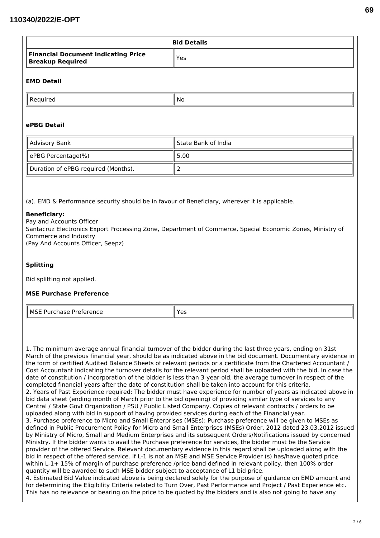|                                                                                                                                                                                                                           | <b>Bid Details</b>  |  |  |  |
|---------------------------------------------------------------------------------------------------------------------------------------------------------------------------------------------------------------------------|---------------------|--|--|--|
| <b>Financial Document Indicating Price</b><br><b>Breakup Required</b>                                                                                                                                                     | Yes                 |  |  |  |
| <b>EMD Detail</b>                                                                                                                                                                                                         |                     |  |  |  |
| Required                                                                                                                                                                                                                  | No                  |  |  |  |
| ePBG Detail                                                                                                                                                                                                               |                     |  |  |  |
| <b>Advisory Bank</b>                                                                                                                                                                                                      | State Bank of India |  |  |  |
| ePBG Percentage(%)                                                                                                                                                                                                        | 5.00                |  |  |  |
| Duration of ePBG required (Months).                                                                                                                                                                                       | $\overline{2}$      |  |  |  |
| Santacruz Electronics Export Processing Zone, Department of Commerce, Special Economic Zones, Ministry of<br>Commerce and Industry<br>(Pay And Accounts Officer, Seepz)<br><b>Splitting</b><br>Bid splitting not applied. |                     |  |  |  |
|                                                                                                                                                                                                                           |                     |  |  |  |
|                                                                                                                                                                                                                           |                     |  |  |  |
| <b>MSE Purchase Preference</b><br><b>MSE Purchase Preference</b>                                                                                                                                                          | Yes                 |  |  |  |

Central / State Govt Organization / PSU / Public Listed Company. Copies of relevant contracts / orders to be uploaded along with bid in support of having provided services during each of the Financial year. 3. Purchase preference to Micro and Small Enterprises (MSEs): Purchase preference will be given to MSEs as defined in Public Procurement Policy for Micro and Small Enterprises (MSEs) Order, 2012 dated 23.03.2012 issued by Ministry of Micro, Small and Medium Enterprises and its subsequent Orders/Notifications issued by concerned Ministry. If the bidder wants to avail the Purchase preference for services, the bidder must be the Service provider of the offered Service. Relevant documentary evidence in this regard shall be uploaded along with the bid in respect of the offered service. If L-1 is not an MSE and MSE Service Provider (s) has/have quoted price within L-1+ 15% of margin of purchase preference /price band defined in relevant policy, then 100% order quantity will be awarded to such MSE bidder subject to acceptance of L1 bid price.

4. Estimated Bid Value indicated above is being declared solely for the purpose of guidance on EMD amount and for determining the Eligibility Criteria related to Turn Over, Past Performance and Project / Past Experience etc. This has no relevance or bearing on the price to be quoted by the bidders and is also not going to have any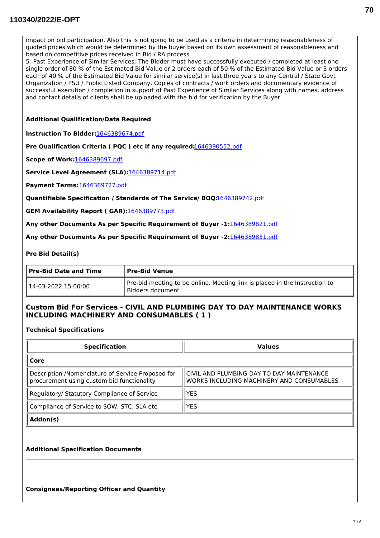# **110340/2022/E-OPT**

impact on bid participation. Also this is not going to be used as a criteria in determining reasonableness of quoted prices which would be determined by the buyer based on its own assessment of reasonableness and based on competitive prices received in Bid / RA process.

5. Past Experience of Similar Services: The Bidder must have successfully executed / completed at least one single order of 80 % of the Estimated Bid Value or 2 orders each of 50 % of the Estimated Bid Value or 3 orders each of 40 % of the Estimated Bid Value for similar service(s) in last three years to any Central / State Govt Organization / PSU / Public Listed Company. Copies of contracts / work orders and documentary evidence of successful execution / completion in support of Past Experience of Similar Services along with names, address and contact details of clients shall be uploaded with the bid for verification by the Buyer.

#### **Additional Qualification/Data Required**

**Instruction To Bidder:**[1646389674.pdf](https://bidplus.gem.gov.in/resources/upload2/MarQ122/bidding/biddoc/bid-3214752/1646389674.pdf)

**Pre Qualification Criteria ( PQC ) etc if any required:**[1646390552.pdf](https://bidplus.gem.gov.in/resources/upload2/MarQ122/bidding/biddoc/bid-3214752/1646390552.pdf)

**Scope of Work:**[1646389697.pdf](https://bidplus.gem.gov.in/resources/upload2/MarQ122/bidding/biddoc/bid-3214752/1646389697.pdf)

**Service Level Agreement (SLA):**[1646389714.pdf](https://bidplus.gem.gov.in/resources/upload2/MarQ122/bidding/biddoc/bid-3214752/1646389714.pdf)

**Payment Terms:**[1646389727.pdf](https://bidplus.gem.gov.in/resources/upload2/MarQ122/bidding/biddoc/bid-3214752/1646389727.pdf)

**Quantifiable Specification / Standards of The Service/ BOQ:**[1646389742.pdf](https://bidplus.gem.gov.in/resources/upload2/MarQ122/bidding/biddoc/bid-3214752/1646389742.pdf)

**GEM Availability Report ( GAR):**[1646389773.pdf](https://bidplus.gem.gov.in/resources/upload2/MarQ122/bidding/biddoc/bid-3214752/1646389773.pdf)

**Any other Documents As per Specific Requirement of Buyer -1:**[1646389821.pdf](https://bidplus.gem.gov.in/resources/upload2/MarQ122/bidding/biddoc/bid-3214752/1646389821.pdf)

**Any other Documents As per Specific Requirement of Buyer -2:**[1646389831.pdf](https://bidplus.gem.gov.in/resources/upload2/MarQ122/bidding/biddoc/bid-3214752/1646389831.pdf)

#### **Pre Bid Detail(s)**

| Pre-Bid Date and Time | Pre-Bid Venue                                                                                     |  |
|-----------------------|---------------------------------------------------------------------------------------------------|--|
| 14-03-2022 15:00:00   | Pre-bid meeting to be online. Meeting link is placed in the Instruction to<br>l Bidders document. |  |

# **Custom Bid For Services - CIVIL AND PLUMBING DAY TO DAY MAINTENANCE WORKS INCLUDING MACHINERY AND CONSUMABLES ( 1 )**

**Technical Specifications**

| <b>Specification</b>                                                                            | <b>Values</b>                                                                          |  |  |
|-------------------------------------------------------------------------------------------------|----------------------------------------------------------------------------------------|--|--|
| Core                                                                                            |                                                                                        |  |  |
| Description /Nomenclature of Service Proposed for<br>procurement using custom bid functionality | CIVIL AND PLUMBING DAY TO DAY MAINTENANCE<br>WORKS INCLUDING MACHINERY AND CONSUMABLES |  |  |
| Regulatory/ Statutory Compliance of Service                                                     | YES                                                                                    |  |  |
| Compliance of Service to SOW, STC, SLA etc                                                      | YES                                                                                    |  |  |
| Addon(s)                                                                                        |                                                                                        |  |  |

#### **Additional Specification Documents**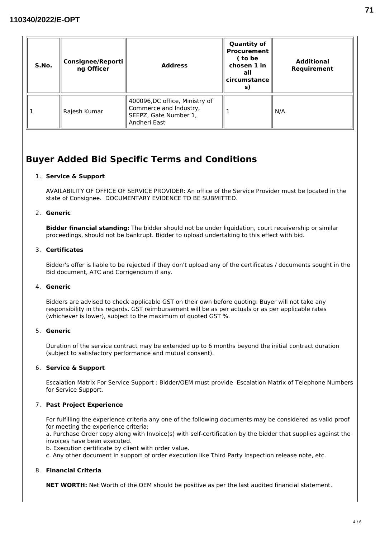| S.No. | <b>Consignee/Reporti</b><br>ng Officer | <b>Address</b>                                                                                   | <b>Quantity of</b><br><b>Procurement</b><br>( to be<br>chosen 1 in<br>all<br>circumstance<br>s) | <b>Additional</b><br>Requirement |
|-------|----------------------------------------|--------------------------------------------------------------------------------------------------|-------------------------------------------------------------------------------------------------|----------------------------------|
|       | Rajesh Kumar                           | 400096,DC office, Ministry of<br>Commerce and Industry,<br>SEEPZ, Gate Number 1,<br>Andheri East |                                                                                                 | N/A                              |

# **Buyer Added Bid Specific Terms and Conditions**

# 1. **Service & Support**

AVAILABILITY OF OFFICE OF SERVICE PROVIDER: An office of the Service Provider must be located in the state of Consignee. DOCUMENTARY EVIDENCE TO BE SUBMITTED.

# 2. **Generic**

**Bidder financial standing:** The bidder should not be under liquidation, court receivership or similar proceedings, should not be bankrupt. Bidder to upload undertaking to this effect with bid.

# 3. **Certificates**

Bidder's offer is liable to be rejected if they don't upload any of the certificates / documents sought in the Bid document, ATC and Corrigendum if any.

# 4. **Generic**

Bidders are advised to check applicable GST on their own before quoting. Buyer will not take any responsibility in this regards. GST reimbursement will be as per actuals or as per applicable rates (whichever is lower), subject to the maximum of quoted GST %.

# 5. **Generic**

Duration of the service contract may be extended up to 6 months beyond the initial contract duration (subject to satisfactory performance and mutual consent).

# 6. **Service & Support**

Escalation Matrix For Service Support : Bidder/OEM must provide Escalation Matrix of Telephone Numbers for Service Support.

# 7. **Past Project Experience**

For fulfilling the experience criteria any one of the following documents may be considered as valid proof for meeting the experience criteria:

a. Purchase Order copy along with Invoice(s) with self-certification by the bidder that supplies against the invoices have been executed.

b. Execution certificate by client with order value.

c. Any other document in support of order execution like Third Party Inspection release note, etc.

# 8. **Financial Criteria**

**NET WORTH:** Net Worth of the OEM should be positive as per the last audited financial statement.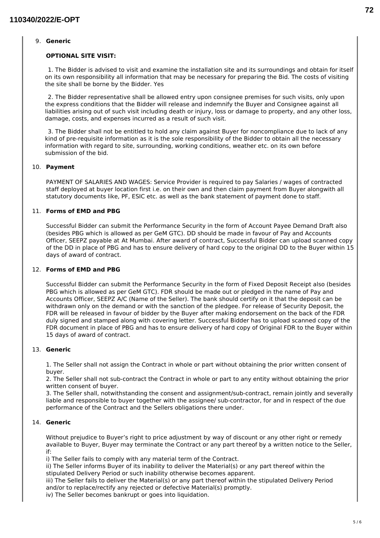#### 9. **Generic**

#### **OPTIONAL SITE VISIT:**

1. The Bidder is advised to visit and examine the installation site and its surroundings and obtain for itself on its own responsibility all information that may be necessary for preparing the Bid. The costs of visiting the site shall be borne by the Bidder. Yes

2. The Bidder representative shall be allowed entry upon consignee premises for such visits, only upon the express conditions that the Bidder will release and indemnify the Buyer and Consignee against all liabilities arising out of such visit including death or injury, loss or damage to property, and any other loss, damage, costs, and expenses incurred as a result of such visit.

3. The Bidder shall not be entitled to hold any claim against Buyer for noncompliance due to lack of any kind of pre-requisite information as it is the sole responsibility of the Bidder to obtain all the necessary information with regard to site, surrounding, working conditions, weather etc. on its own before submission of the bid.

#### 10. **Payment**

PAYMENT OF SALARIES AND WAGES: Service Provider is required to pay Salaries / wages of contracted staff deployed at buyer location first i.e. on their own and then claim payment from Buyer alongwith all statutory documents like, PF, ESIC etc. as well as the bank statement of payment done to staff.

#### 11. **Forms of EMD and PBG**

Successful Bidder can submit the Performance Security in the form of Account Payee Demand Draft also (besides PBG which is allowed as per GeM GTC). DD should be made in favour of Pay and Accounts Officer, SEEPZ payable at At Mumbai. After award of contract, Successful Bidder can upload scanned copy of the DD in place of PBG and has to ensure delivery of hard copy to the original DD to the Buyer within 15 days of award of contract.

#### 12. **Forms of EMD and PBG**

Successful Bidder can submit the Performance Security in the form of Fixed Deposit Receipt also (besides PBG which is allowed as per GeM GTC). FDR should be made out or pledged in the name of Pay and Accounts Officer, SEEPZ A/C (Name of the Seller). The bank should certify on it that the deposit can be withdrawn only on the demand or with the sanction of the pledgee. For release of Security Deposit, the FDR will be released in favour of bidder by the Buyer after making endorsement on the back of the FDR duly signed and stamped along with covering letter. Successful Bidder has to upload scanned copy of the FDR document in place of PBG and has to ensure delivery of hard copy of Original FDR to the Buyer within 15 days of award of contract.

#### 13. **Generic**

1. The Seller shall not assign the Contract in whole or part without obtaining the prior written consent of buyer.

2. The Seller shall not sub-contract the Contract in whole or part to any entity without obtaining the prior written consent of buyer.

3. The Seller shall, notwithstanding the consent and assignment/sub-contract, remain jointly and severally liable and responsible to buyer together with the assignee/ sub-contractor, for and in respect of the due performance of the Contract and the Sellers obligations there under.

# 14. **Generic**

Without prejudice to Buyer's right to price adjustment by way of discount or any other right or remedy available to Buyer, Buyer may terminate the Contract or any part thereof by a written notice to the Seller, if:

i) The Seller fails to comply with any material term of the Contract.

ii) The Seller informs Buyer of its inability to deliver the Material(s) or any part thereof within the stipulated Delivery Period or such inability otherwise becomes apparent.

iii) The Seller fails to deliver the Material(s) or any part thereof within the stipulated Delivery Period and/or to replace/rectify any rejected or defective Material(s) promptly.

iv) The Seller becomes bankrupt or goes into liquidation.